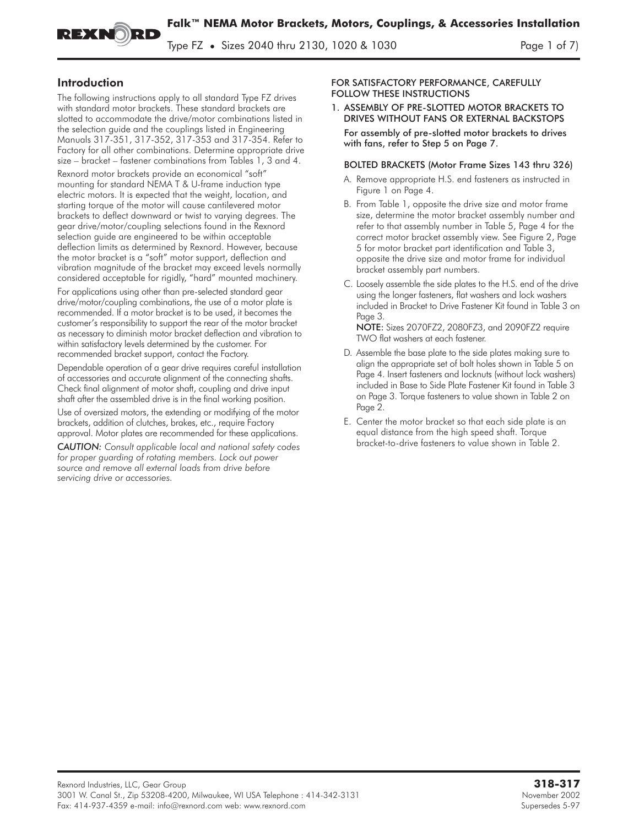**Falk™ NEMA Motor Brackets, Motors, Couplings, & Accessories Installation**

Type FZ **•** Sizes 2040 thru 2130, 1020 & 1030 Page 1 of 7)

# Introduction

The following instructions apply to all standard Type FZ drives with standard motor brackets. These standard brackets are slotted to accommodate the drive/motor combinations listed in the selection guide and the couplings listed in Engineering Manuals 317-351, 317-352, 317-353 and 317-354. Refer to Factory for all other combinations. Determine appropriate drive size – bracket – fastener combinations from Tables 1, 3 and 4.

RБ

Rexnord motor brackets provide an economical "soft" mounting for standard NEMA T & U-frame induction type electric motors. It is expected that the weight, location, and starting torque of the motor will cause cantilevered motor brackets to deflect downward or twist to varying degrees. The gear drive/motor/coupling selections found in the Rexnord selection guide are engineered to be within acceptable deflection limits as determined by Rexnord. However, because the motor bracket is a "soft" motor support, deflection and vibration magnitude of the bracket may exceed levels normally considered acceptable for rigidly, "hard" mounted machinery.

For applications using other than pre-selected standard gear drive/motor/coupling combinations, the use of a motor plate is recommended. If a motor bracket is to be used, it becomes the customer's responsibility to support the rear of the motor bracket as necessary to diminish motor bracket deflection and vibration to within satisfactory levels determined by the customer. For recommended bracket support, contact the Factory.

Dependable operation of a gear drive requires careful installation of accessories and accurate alignment of the connecting shafts. Check final alignment of motor shaft, coupling and drive input shaft after the assembled drive is in the final working position.

Use of oversized motors, the extending or modifying of the motor brackets, addition of clutches, brakes, etc., require Factory approval. Motor plates are recommended for these applications.

*CAUTION: Consult applicable local and national safety codes for proper guarding of rotating members. Lock out power source and remove all external loads from drive before servicing drive or accessories.*

#### FOR SATISFACTORY PERFORMANCE, CAREFULLY FOLLOW THESE INSTRUCTIONS

1. ASSEMBLY OF PRE-SLOTTED MOTOR BRACKETS TO DRIVES WITHOUT FANS OR EXTERNAL BACKSTOPS

For assembly of pre-slotted motor brackets to drives with fans, refer to Step 5 on Page 7.

#### BOLTED BRACKETS (Motor Frame Sizes 143 thru 326)

- A. Remove appropriate H.S. end fasteners as instructed in Figure 1 on Page 4.
- B. From Table 1, opposite the drive size and motor frame size, determine the motor bracket assembly number and refer to that assembly number in Table 5, Page 4 for the correct motor bracket assembly view. See Figure 2, Page 5 for motor bracket part identification and Table 3, opposite the drive size and motor frame for individual bracket assembly part numbers.
- C. Loosely assemble the side plates to the H.S. end of the drive using the longer fasteners, flat washers and lock washers included in Bracket to Drive Fastener Kit found in Table 3 on Page 3.

NOTE: Sizes 2070FZ2, 2080FZ3, and 2090FZ2 require TWO flat washers at each fastener.

- D. Assemble the base plate to the side plates making sure to align the appropriate set of bolt holes shown in Table 5 on Page 4. Insert fasteners and locknuts (without lock washers) included in Base to Side Plate Fastener Kit found in Table 3 on Page 3. Torque fasteners to value shown in Table 2 on Page 2.
- E. Center the motor bracket so that each side plate is an equal distance from the high speed shaft. Torque bracket-to-drive fasteners to value shown in Table 2.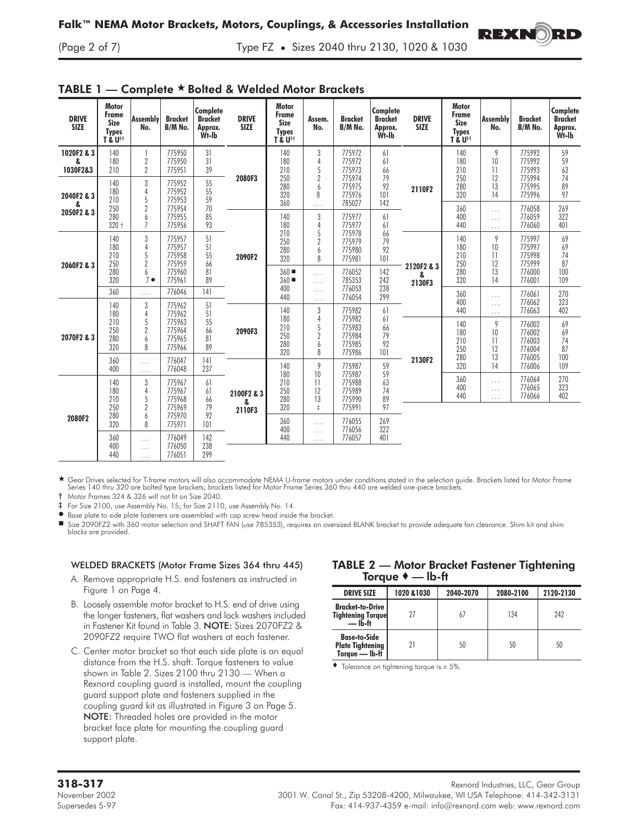

**REXNORD** 



TABLE 1 — Complete \* Bolted & Welded Motor Brackets

★ Gear Drives selected for T-frame motors will also accommodate NEMA U-frame motors under conditions stated in the selection guide. Brackets listed for Motor Frame<br>Series 140 thru 320 are bolted type brackets; brackets li

† Motor Frames 324 & 326 will not fit on Size 2040.

‡ For Size 2100, use Assembly No. 15; for Size 2110, use Assembly No. 14.

 $\bullet$ Base plate to side plate fasteners are assembled with cap screw head inside the bracket.

 Size 2090FZ2 with 360 motor selection and SHAFT FAN (use 785353), requires an oversized BLANK bracket to provide adequate fan clearance. Shim kit and shim blocks are provided.

### WELDED BRACKETS (Motor Frame Sizes 364 thru 445)

- A. Remove appropriate H.S. end fasteners as instructed in Figure 1 on Page 4.
- B. Loosely assemble motor bracket to H.S. end of drive using the longer fasteners, flat washers and lock washers included in Fastener Kit found in Table 3. NOTE: Sizes 2070FZ2 & 2090FZ2 require TWO flat washers at each fastener.
- C. Center motor bracket so that each side plate is an equal distance from the H.S. shaft. Torque fasteners to value shown in Table 2. Sizes 2100 thru 2130 — When a Rexnord coupling guard is installed, mount the coupling guard support plate and fasteners supplied in the coupling guard kit as illustrated in Figure 3 on Page 5. NOTE: Threaded holes are provided in the motor bracket face plate for mounting the coupling guard support plate.

## TABLE 2 — Motor Bracket Fastener Tightening Torque  $\bullet$  — Ib-ft

| <b>DRIVE SIZE</b>                                                | 1020 & 1030 | 2040-2070 | 2080-2100 | 2120-2130 |
|------------------------------------------------------------------|-------------|-----------|-----------|-----------|
| <b>Bracket-to-Drive</b><br><b>Tightening Torquel</b><br>— Ib-ft  | 27          |           | 134       | 242       |
| <b>Base-to-Side</b><br><b>Plate Tightening</b><br>Torque — Ib-ft | 21          | 50        | 50        | 50        |

 $\bullet$  Tolerance on tightening torque is  $\pm$  5%.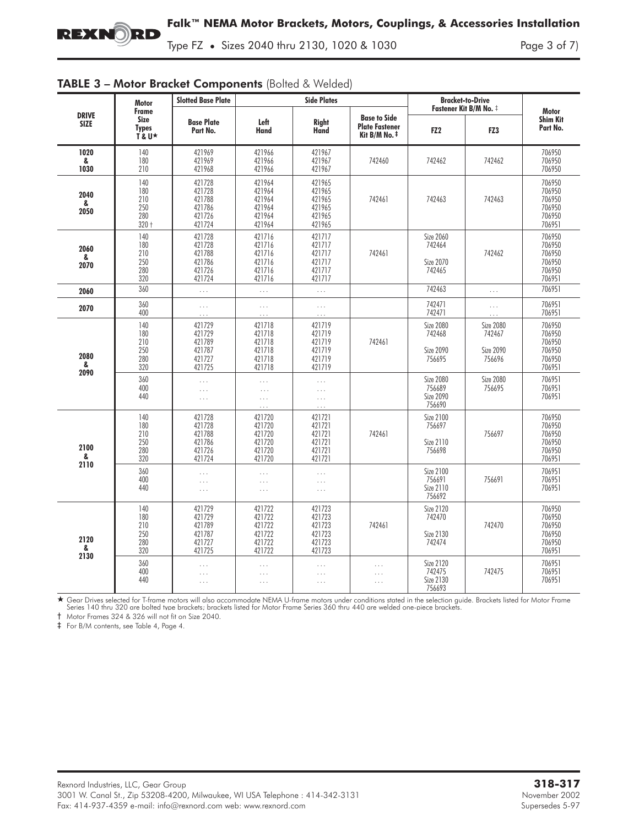Type FZ **•** Sizes 2040 thru 2130, 1020 & 1030 Page 3 of 7)

|                             | <b>Motor</b>                                 | <b>Slotted Base Plate</b>                                |                                                          | <b>Side Plates</b>                                       |                                                               | <b>Bracket-to-Drive</b>                           |                                                          |                                                          |
|-----------------------------|----------------------------------------------|----------------------------------------------------------|----------------------------------------------------------|----------------------------------------------------------|---------------------------------------------------------------|---------------------------------------------------|----------------------------------------------------------|----------------------------------------------------------|
| <b>DRIVE</b><br><b>SIZE</b> | Frame<br><b>Size</b><br><b>Types</b><br>T&U★ | <b>Base Plate</b><br>Part No.                            | Left<br><b>Hand</b>                                      | <b>Right</b><br>Hand                                     | <b>Base to Side</b><br><b>Plate Fastener</b><br>Kit B/M No. ‡ | FZ <sub>2</sub>                                   | Fastener Kit B/M No. ‡<br>FZ3                            | <b>Motor</b><br><b>Shim Kit</b><br>Part No.              |
| 1020<br>&<br>1030           | 140<br>180<br>210                            | 421969<br>421969<br>421968                               | 421966<br>421966<br>421966                               | 421967<br>421967<br>421967                               | 742460                                                        | 742462                                            | 742462                                                   | 706950<br>706950<br>706950                               |
| 2040<br>&<br>2050           | 140<br>180<br>210<br>250<br>280<br>$320 +$   | 421728<br>421728<br>421788<br>421786<br>421726<br>421724 | 421964<br>421964<br>421964<br>421964<br>421964<br>421964 | 421965<br>421965<br>421965<br>421965<br>421965<br>421965 | 742461                                                        | 742463                                            | 742463                                                   | 706950<br>706950<br>706950<br>706950<br>706950<br>706951 |
| 2060<br>&<br>2070           | 140<br>180<br>210<br>250<br>280<br>320       | 421728<br>421728<br>421788<br>421786<br>421726<br>421724 | 421716<br>421716<br>421716<br>421716<br>421716<br>421716 | 421717<br>421717<br>421717<br>421717<br>421717<br>421717 | 742461                                                        | Size 2060<br>742464<br><b>Size 2070</b><br>742465 | 742462                                                   | 706950<br>706950<br>706950<br>706950<br>706950<br>706951 |
| 2060                        | 360                                          | $\cdots$                                                 | $\ldots$                                                 | $\mathbf{1}$                                             |                                                               | 742463                                            | $\ldots$                                                 | 706951                                                   |
| 2070                        | 360<br>400                                   | $\ldots$                                                 | $\cdots$<br>$\cdots$                                     | $\cdots$<br>$\ldots$                                     |                                                               | 742471<br>742471                                  | $\ldots$<br>$\cdots$                                     | 706951<br>706951                                         |
| 2080<br>&<br>2090           | 140<br>180<br>210<br>250<br>280<br>320       | 421729<br>421729<br>421789<br>421787<br>421727<br>421725 | 421718<br>421718<br>421718<br>421718<br>421718<br>421718 | 421719<br>421719<br>421719<br>421719<br>421719<br>421719 | 742461                                                        | <b>Size 2080</b><br>742468<br>Size 2090<br>756695 | <b>Size 2080</b><br>742467<br><b>Size 2090</b><br>756696 | 706950<br>706950<br>706950<br>706950<br>706950<br>706951 |
|                             | 360<br>400<br>440                            | $\cdots$<br>$\ldots$<br>$\ldots$                         | $\cdots$<br>$\ldots$<br>$\ldots$<br>$\ddotsc$            | $\ldots$<br>$\ldots$<br>$\ldots$<br>$\cdots$             |                                                               | <b>Size 2080</b><br>756689<br>Size 2090<br>756690 | <b>Size 2080</b><br>756695                               | 706951<br>706951<br>706951                               |
| 2100<br>&<br>2110           | 140<br>180<br>210<br>250<br>280<br>320       | 421728<br>421728<br>421788<br>421786<br>421726<br>421724 | 421720<br>421720<br>421720<br>421720<br>421720<br>421720 | 421721<br>421721<br>421721<br>421721<br>421721<br>421721 | 742461                                                        | Size 2100<br>756697<br>Size 2110<br>756698        | 756697                                                   | 706950<br>706950<br>706950<br>706950<br>706950<br>706951 |
|                             | 360<br>400<br>440                            | $\ldots$<br>$\ldots$<br>$\ldots$                         | $\cdots$<br>$\ldots$<br>$\ldots$                         | $\cdots$<br>$\ldots$<br>$\ldots$                         |                                                               | <b>Size 2100</b><br>756691<br>Size 2110<br>756692 | 756691                                                   | 706951<br>706951<br>706951                               |
| 2120<br>&                   | 140<br>180<br>210<br>250<br>280<br>320       | 421729<br>421729<br>421789<br>421787<br>421727<br>421725 | 421722<br>421722<br>421722<br>421722<br>421722<br>421722 | 421723<br>421723<br>421723<br>421723<br>421723<br>421723 | 742461                                                        | Size 2120<br>742470<br>Size 2130<br>742474        | 742470                                                   | 706950<br>706950<br>706950<br>706950<br>706950<br>706951 |
| 2130                        | 360<br>400<br>440                            | $\ldots$<br>$\cdots$<br>$\ldots$                         | $\ldots$<br>$\ldots$<br>$\ldots$                         | $\ldots$<br>$\ldots$<br>$\ldots$                         | $\ldots$<br>$\cdots$<br>$\ldots$                              | Size 2120<br>742475<br>Size 2130<br>756693        | 742475                                                   | 706951<br>706951<br>706951                               |

# TABLE 3 - Motor Bracket Components (Bolted & Welded)

- Gear Drives selected for T-frame motors will also accommodate NEMA U-frame motors under conditions stated in the selection guide. Brackets listed for Motor Frame Series 140 thru 320 are bolted type brackets; brackets listed for Motor Frame Series 360 thru 440 are welded one-piece brackets.

† Motor Frames 324 & 326 will not fit on Size 2040.

‡ For B/M contents, see Table 4, Page 4.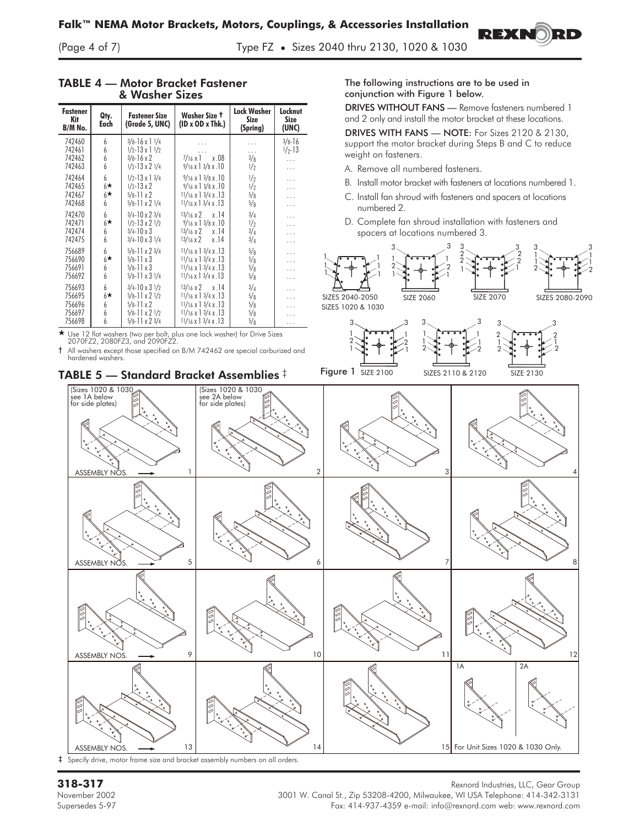Lock Washer Size

Locknut Size

Qty.

Fastener Kit

(Page 4 of 7) Type FZ **•** Sizes 2040 thru 2130, 1020 & 1030

#### support the motor bracket during Steps B and C to reduce weight on fasteners. A. Remove all numbered fasteners. B. Install motor bracket with fasteners at locations numbered 1. C. Install fan shroud with fasteners and spacers at locations numbered 2. D. Complete fan shroud installation with fasteners and spacers at locations numbered 3. (Sizes 1020 & 103) see 1A below for side plates) (Sizes 1020 & 1030 see 2A below for side plates) ASSEMBLY NOS.  $\longrightarrow$  1  $\begin{array}{ccc} & 1 & & \sqrt{2} & & \sqrt{2} & & \sqrt{2} & & \sqrt{2} & & \sqrt{2} & & \sqrt{2} & & \sqrt{2} & & \sqrt{2} & & \sqrt{2} & & \sqrt{2} & & \sqrt{2} & & \sqrt{2} & & \sqrt{2} & & \sqrt{2} & & \sqrt{2} & & \sqrt{2} & & \sqrt{2} & & \sqrt{2} & & \sqrt{2} & & \sqrt{2} & & \sqrt{2} & & \sqrt{2} & & \sqrt{2} & & \sqrt{2} & & \sqrt{2} & & \sqrt{2} & & \sqrt{2}$ ASSEMBLY NOS.  $\longrightarrow$  5 ASSEMBLY NOS.  $\longrightarrow$  9 10 10 11 11  $\longrightarrow$  12 ASSEMBLY NOS.  $\longrightarrow$  13 13 14 14 15 For Unit Sizes 1020 & 1030 Only. 1A | 2A TABLE 5 — Standard Bracket Assemblies ‡ B/M No. Each (Spring) (UNC) 742460 6 3/8-16 x 1 1/4 ... 1 ... 3/8-16 742461 6 1/2-13 x 1 1/2 ... 1 ... 1 1/2-13  $\begin{array}{c|c|c|c|c|c|c|c|c} \hline \text{742461} & \text{6} & \text{1}\text{/}2-13\times1\text{~}1\text{/}2 & \dots & \dots & \text{1}\text{/}2-13\\ \hline \text{742462} & \text{6} & \text{3}\text{/}8-16\times2 & \text{7}\text{/}16\times1 & \times.08 & \text{3}\text{/}8 & \dots\\ \hline \text{742463} & \text{6} & \text{1}\text{/}2-13\times2\text{~}1\text{/}4 & \text{9}\text{/}16\times1\text$  $\frac{9}{16} \times 13/8 \times 10$   $\frac{1}{2}$  ... 742464 6 1/2-13 x 13/4 9/16 x 13/8 x .10 1/2 ...  $742465$  6<sup>\*</sup>  $\frac{1}{2}$  1/2-13 x 2  $\begin{array}{|c|c|c|c|c|c|} \hline 9/16 \times 13/8 \times .10 & 1/2 & 1.1/6 \times 13/4 \times .13 & 5/8 & .11/6 \times 13/4 \times .13 & .12 & .12/8 \hline \end{array}$  $742467$  6<sup>-7</sup><br> $742468$  6  $\frac{5}{6}$ -11 x 2  $\left[\begin{array}{cc} 11/16 \times 13/4 \times .13 \\ 11/16 \times 13/4 \times .13 \end{array}\right]$   $\left[\begin{array}{cc} 5/8 \\ 5/8 \\ \end{array}\right]$  ...  $11/16 \times 13/4 \times .13$  5/8 ...  $742470$  6  $3/4-10 \times 2 \times 4$   $13/16 \times 2 \times 1.4$   $3/4$  ...<br>  $742471$  6  $\rightarrow$   $1/2-13 \times 2 \times 2$   $\rightarrow$   $9/16 \times 1 \times 3/8 \times 1.0$   $1/2$   $1/2$ 742471<br>742474  $\frac{1}{2}$ <br>  $\frac{1}{2}$   $\frac{1}{2}$   $\frac{1}{2}$   $\frac{1}{2}$   $\frac{1}{2}$   $\frac{1}{2}$   $\frac{1}{2}$   $\frac{1}{2}$   $\frac{1}{2}$   $\frac{1}{2}$   $\frac{1}{2}$   $\frac{1}{2}$   $\frac{1}{2}$   $\frac{1}{2}$   $\frac{1}{2}$   $\frac{1}{2}$   $\frac{1}{2}$   $\frac{1}{2}$   $\frac{1}{2}$   $\frac{1}{2}$   $\frac{1}{2}$  742474 6 3/4-10 x 3 13/16 x 2 x 14 3/4 1 742475 6 3/4-10 x 3 1/4 3/16 x 2 x .14 3/4 ...  $756689$  6  $5/8$ -11 x 2 3/4 11/16 x 1 3/4 x 13<br> $756690$  6  $5/8$ -11 x 3 11/16 x 1 3/4 x 13<br> $1/16$  x 1 3/4 x 13<br> $5/8$   $5/8$ 756690<br>756691  $\frac{5}{6}$ -11 x 3  $\begin{array}{|c|c|c|c|c|c|c|c|c|} \hline 11/16 & x & 13/4 & x & 13 & 5/8 & \cdots \\ 5/8 & 11 & x & 3 & 11/16 & x & 13/4 & x & 13 & 5/8 & \cdots \end{array}$ 756691 6 5/8-11 x 3 11/16 x 1 3/4 x 13 5/8 ...<br>756692 6 5/8-11 x 3 1/4 11/16 x 1 3/4 x 13 5/8 ...  $11/16 \times 13/4 \times .13$  5/8 ... 756693 6 3/4-10 x 31/2 3/16 x 2 x .14 3/4 ...  $756695$   $6*$  $\star$  | 5/8-11 x 2 1/2 | 11/16 x 1 3/4 x .13 | 5/8 | ... 756695 6★ 5/8-11 x 2 1/2 11/16 x 1 3/4 x .13 5/8 ...<br>756696 6 5/8-11 x 2 11/16 x 1 3/4 x .13 5/8 ...<br>756697 6 5/8-11 x 2 1/2 11/16 x 1 3/4 x .13 5/8 ... 756697 6 5/8-11 x 2 1/2 11/16 x 1 3/4 x .13 5/8 ...<br>756698 6 5/8-11 x 2 3/4 11/16 x 1 3/4 x .13 5/8 ...  $11/16$  x 1  $3/4$  x .13 - Use 12 flat washers (two per bolt, plus one lock washer) for Drive Sizes 2070FZ2, 2080FZ3, and 2090FZ2. † All washers except those specified on B/M 742462 are special carburized and hardened washers. SIZE 2060 SIZES 2110 & 2120 SIZES 2040-2050 1 1 1 1 1 1 3 1 2 1 1 2 1 SIZE 2070 3 2 1 3 2 2 1 SIZES 2080-2090 1 1 Figure 1 SIZE 2100 3 1 2 1 1 1 3 1 1 1 1 SIZE 2130 2 1 3 1 2  $2\sum_{i=1}^{n}$   $\frac{1}{2}$ 2  $2 \rightarrow 2$  2 2  $3 \begin{array}{ccc} 3 & 3 \end{array}$   $3 \begin{array}{ccc} 3 & 3 \end{array}$ 3 3 2 2  $\frac{1}{2}$   $\frac{1}{2}$   $\frac{1}{2}$   $\frac{1}{2}$   $\frac{1}{2}$   $\frac{1}{2}$   $\frac{1}{2}$   $\frac{1}{2}$   $\frac{1}{2}$   $\frac{1}{2}$   $\frac{1}{2}$   $\frac{1}{2}$   $\frac{1}{2}$   $\frac{1}{2}$   $\frac{1}{2}$   $\frac{1}{2}$   $\frac{1}{2}$   $\frac{1}{2}$   $\frac{1}{2}$   $\frac{1}{2}$   $\frac{1}{2}$   $\frac{1}{2$ SIZES 1020 & 1030

#### TABLE 4 — Motor Bracket Fastener & Washer Sizes

Washer Size **†** (ID x OD x Thk.)

Fastener Size (Grade 5, UNC)

‡ Specify drive, motor frame size and bracket assembly numbers on all orders.

Rexnord Industries, LLC, Gear Group<br>131**8-317** Rexnord Industries, LLC, Gear Group<br>1317 November 2002 Supersedes 5-97 Fax: 414-937-4359 e-mail: info@rexnord.com web: www.rexnord.com

The following instructions are to be used in conjunction with Figure 1 below.

DRIVES WITHOUT FANS — Remove fasteners numbered 1 and 2 only and install the motor bracket at these locations.

**REXNO** 

DRIVES WITH FANS — NOTE: For Sizes 2120 & 2130,

3 1 1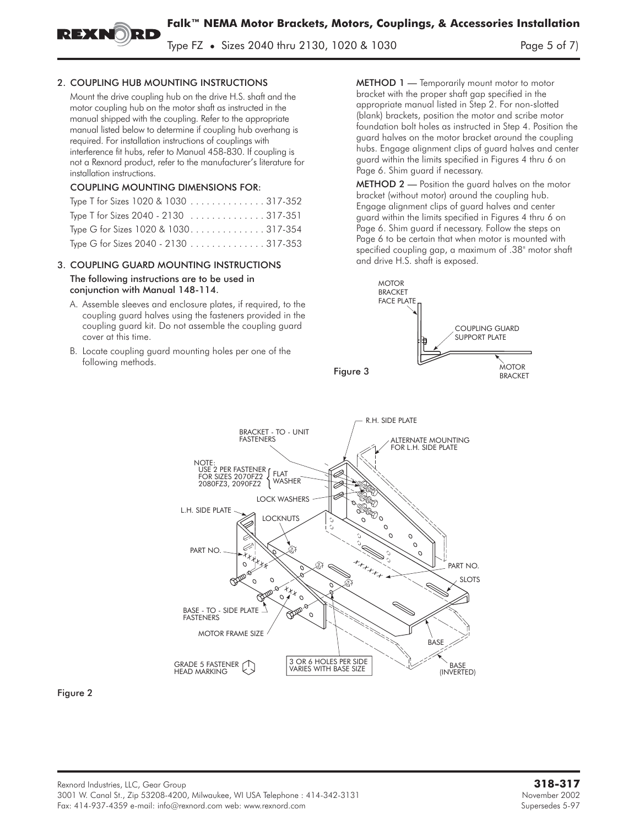Type FZ **•** Sizes 2040 thru 2130, 1020 & 1030 Page 5 of 7)

#### 2. COUPLING HUB MOUNTING INSTRUCTIONS

Mount the drive coupling hub on the drive H.S. shaft and the motor coupling hub on the motor shaft as instructed in the manual shipped with the coupling. Refer to the appropriate manual listed below to determine if coupling hub overhang is required. For installation instructions of couplings with interference fit hubs, refer to Manual 458-830. If coupling is not a Rexnord product, refer to the manufacturer's literature for installation instructions.

#### COUPLING MOUNTING DIMENSIONS FOR:

| Type T for Sizes 1020 & 1030 317-352                               |  |
|--------------------------------------------------------------------|--|
| Type T for Sizes 2040 - 2130 $\ldots \ldots \ldots \ldots 317-351$ |  |
| Type G for Sizes 1020 & 1030317-354                                |  |
| Type G for Sizes 2040 - 2130 317-353                               |  |

#### 3. COUPLING GUARD MOUNTING INSTRUCTIONS The following instructions are to be used in conjunction with Manual 148-114.

- A. Assemble sleeves and enclosure plates, if required, to the coupling guard halves using the fasteners provided in the coupling guard kit. Do not assemble the coupling guard cover at this time.
- B. Locate coupling guard mounting holes per one of the following methods.

METHOD 1 — Temporarily mount motor to motor bracket with the proper shaft gap specified in the appropriate manual listed in Step 2. For non-slotted (blank) brackets, position the motor and scribe motor foundation bolt holes as instructed in Step 4. Position the guard halves on the motor bracket around the coupling hubs. Engage alignment clips of guard halves and center guard within the limits specified in Figures 4 thru 6 on Page 6. Shim guard if necessary.

**METHOD 2** — Position the guard halves on the motor bracket (without motor) around the coupling hub. Engage alignment clips of guard halves and center guard within the limits specified in Figures 4 thru 6 on Page 6. Shim guard if necessary. Follow the steps on Page 6 to be certain that when motor is mounted with specified coupling gap, a maximum of .38" motor shaft and drive H.S. shaft is exposed.





Figure 2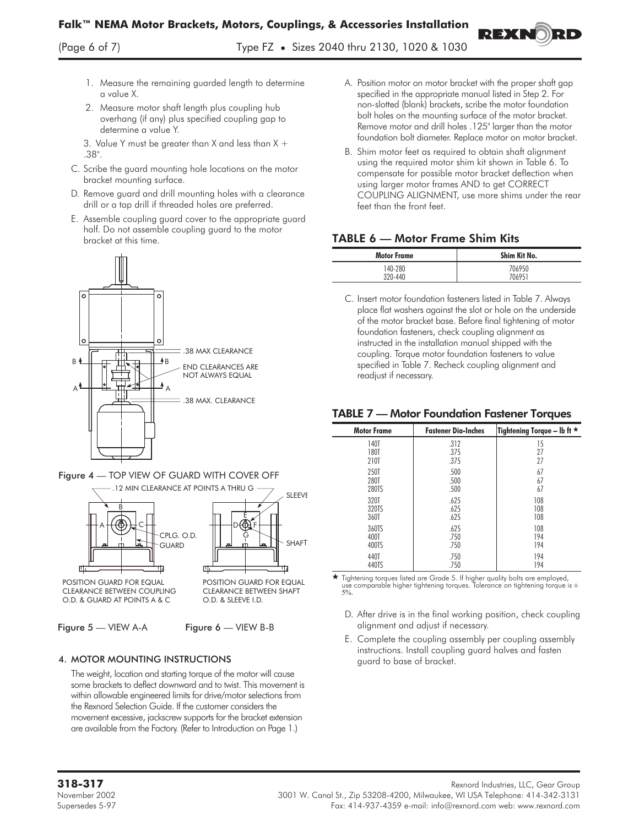- 1. Measure the remaining guarded length to determine a value X.
- 2. Measure motor shaft length plus coupling hub overhang (if any) plus specified coupling gap to determine a value Y.

3. Value Y must be greater than X and less than  $X +$ .38".

- C. Scribe the guard mounting hole locations on the motor bracket mounting surface.
- D. Remove guard and drill mounting holes with a clearance drill or a tap drill if threaded holes are preferred.
- E. Assemble coupling guard cover to the appropriate guard half. Do not assemble coupling guard to the motor bracket at this time.







CLEARANCE BETWEEN COUPLING O.D. & GUARD AT POINTS A & C

Figure 5 — VIEW A-A Figure 6 — VIEW B-B

O.D. & SLEEVE I.D.

### 4. MOTOR MOUNTING INSTRUCTIONS

The weight, location and starting torque of the motor will cause some brackets to deflect downward and to twist. This movement is within allowable engineered limits for drive/motor selections from the Rexnord Selection Guide. If the customer considers the movement excessive, jackscrew supports for the bracket extension are available from the Factory. (Refer to Introduction on Page 1.)

A. Position motor on motor bracket with the proper shaft gap specified in the appropriate manual listed in Step 2. For non-slotted (blank) brackets, scribe the motor foundation bolt holes on the mounting surface of the motor bracket. Remove motor and drill holes .125" larger than the motor foundation bolt diameter. Replace motor on motor bracket.

REXR

B. Shim motor feet as required to obtain shaft alignment using the required motor shim kit shown in Table 6. To compensate for possible motor bracket deflection when using larger motor frames AND to get CORRECT COUPLING ALIGNMENT, use more shims under the rear feet than the front feet.

# TABLE 6 — Motor Frame Shim Kits

| <b>Motor Frame</b> | Shim Kit No. |
|--------------------|--------------|
| 140-280            | 706950       |
| 320-440            | 706951       |

C. Insert motor foundation fasteners listed in Table 7. Always place flat washers against the slot or hole on the underside of the motor bracket base. Before final tightening of motor foundation fasteners, check coupling alignment as instructed in the installation manual shipped with the coupling. Torque motor foundation fasteners to value specified in Table 7. Recheck coupling alignment and readjust if necessary.

### TABLE 7 — Motor Foundation Fastener Torques

| <b>Motor Frame</b> | <b>Fastener Dia-Inches</b> | Tightening Torque - Ib ft $\star$ |
|--------------------|----------------------------|-----------------------------------|
| <b>140T</b>        | .312                       | 15                                |
| <b>180T</b>        | .375                       | 27                                |
| 210T               | .375                       | 27                                |
| 250T               | .500                       | 67                                |
| 280T               | .500                       | 67                                |
| 280TS              | .500                       | 67                                |
| 320T               | .625                       | 108                               |
| 320TS              | .625                       | 108                               |
| 360T               | .625                       | 108                               |
| 360TS              | .625                       | 108                               |
| 400T               | .750                       | 194                               |
| 400TS              | .750                       | 194                               |
| 440T               | .750                       | 194                               |
| 440TS              | .750                       | 194                               |

 $\star$ ★ Tightening torques listed are Grade 5. If higher quality bolts are employed,<br>use comparable higher tightening torques. Tolerance on tightening torque is ±<br>5%.

- D. After drive is in the final working position, check coupling alignment and adjust if necessary.
- E. Complete the coupling assembly per coupling assembly instructions. Install coupling guard halves and fasten guard to base of bracket.